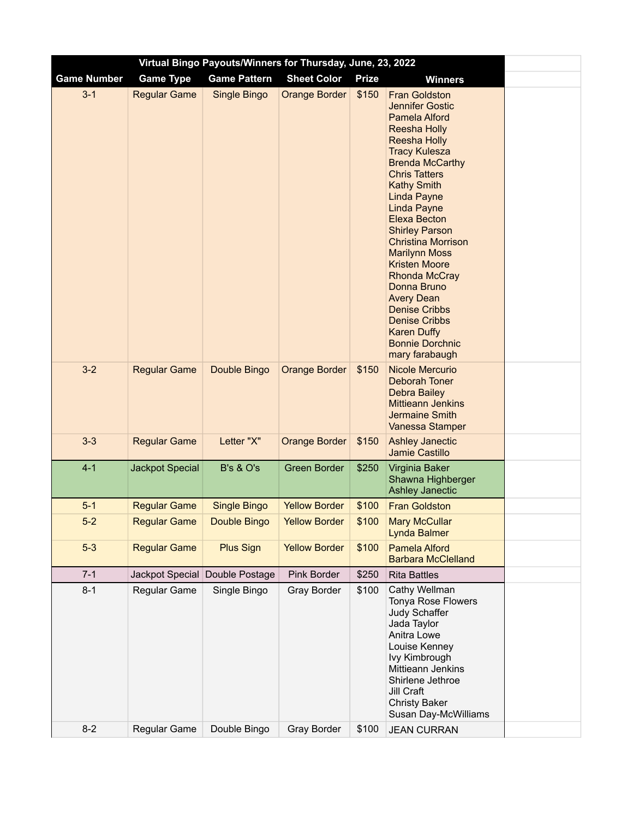| Virtual Bingo Payouts/Winners for Thursday, June, 23, 2022 |                        |                                |                      |              |                                                                                                                                                                                                                                                                                                                                                                                                                                                                                                                                                                      |  |  |  |  |
|------------------------------------------------------------|------------------------|--------------------------------|----------------------|--------------|----------------------------------------------------------------------------------------------------------------------------------------------------------------------------------------------------------------------------------------------------------------------------------------------------------------------------------------------------------------------------------------------------------------------------------------------------------------------------------------------------------------------------------------------------------------------|--|--|--|--|
| <b>Game Number</b>                                         | <b>Game Type</b>       | <b>Game Pattern</b>            | <b>Sheet Color</b>   | <b>Prize</b> | <b>Winners</b>                                                                                                                                                                                                                                                                                                                                                                                                                                                                                                                                                       |  |  |  |  |
| $3 - 1$                                                    | <b>Regular Game</b>    | Single Bingo                   | <b>Orange Border</b> | \$150        | <b>Fran Goldston</b><br><b>Jennifer Gostic</b><br>Pamela Alford<br><b>Reesha Holly</b><br><b>Reesha Holly</b><br><b>Tracy Kulesza</b><br><b>Brenda McCarthy</b><br><b>Chris Tatters</b><br><b>Kathy Smith</b><br><b>Linda Payne</b><br><b>Linda Payne</b><br><b>Elexa Becton</b><br><b>Shirley Parson</b><br><b>Christina Morrison</b><br><b>Marilynn Moss</b><br><b>Kristen Moore</b><br><b>Rhonda McCray</b><br>Donna Bruno<br><b>Avery Dean</b><br><b>Denise Cribbs</b><br><b>Denise Cribbs</b><br><b>Karen Duffy</b><br><b>Bonnie Dorchnic</b><br>mary farabaugh |  |  |  |  |
| $3-2$                                                      | <b>Regular Game</b>    | Double Bingo                   | <b>Orange Border</b> | \$150        | <b>Nicole Mercurio</b><br><b>Deborah Toner</b><br><b>Debra Bailey</b><br><b>Mittieann Jenkins</b><br><b>Jermaine Smith</b><br>Vanessa Stamper                                                                                                                                                                                                                                                                                                                                                                                                                        |  |  |  |  |
| $3 - 3$                                                    | <b>Regular Game</b>    | Letter "X"                     | <b>Orange Border</b> | \$150        | <b>Ashley Janectic</b><br><b>Jamie Castillo</b>                                                                                                                                                                                                                                                                                                                                                                                                                                                                                                                      |  |  |  |  |
| $4 - 1$                                                    | <b>Jackpot Special</b> | <b>B's &amp; O's</b>           | <b>Green Border</b>  | \$250        | Virginia Baker<br>Shawna Highberger<br><b>Ashley Janectic</b>                                                                                                                                                                                                                                                                                                                                                                                                                                                                                                        |  |  |  |  |
| $5-1$                                                      | <b>Regular Game</b>    | <b>Single Bingo</b>            | <b>Yellow Border</b> | \$100        | <b>Fran Goldston</b>                                                                                                                                                                                                                                                                                                                                                                                                                                                                                                                                                 |  |  |  |  |
| $5-2$                                                      | <b>Regular Game</b>    | Double Bingo                   | <b>Yellow Border</b> | \$100        | <b>Mary McCullar</b><br><b>Lynda Balmer</b>                                                                                                                                                                                                                                                                                                                                                                                                                                                                                                                          |  |  |  |  |
| $5-3$                                                      | <b>Regular Game</b>    | <b>Plus Sign</b>               | <b>Yellow Border</b> | \$100        | <b>Pamela Alford</b><br><b>Barbara McClelland</b>                                                                                                                                                                                                                                                                                                                                                                                                                                                                                                                    |  |  |  |  |
| $7 - 1$                                                    |                        | Jackpot Special Double Postage | <b>Pink Border</b>   | \$250        | <b>Rita Battles</b>                                                                                                                                                                                                                                                                                                                                                                                                                                                                                                                                                  |  |  |  |  |
| $8 - 1$                                                    | Regular Game           | Single Bingo                   | Gray Border          | \$100        | Cathy Wellman<br>Tonya Rose Flowers<br>Judy Schaffer<br>Jada Taylor<br>Anitra Lowe<br>Louise Kenney<br>lvy Kimbrough<br>Mittieann Jenkins<br>Shirlene Jethroe<br>Jill Craft<br><b>Christy Baker</b><br>Susan Day-McWilliams                                                                                                                                                                                                                                                                                                                                          |  |  |  |  |
| $8 - 2$                                                    | Regular Game           | Double Bingo                   | Gray Border          | \$100        | <b>JEAN CURRAN</b>                                                                                                                                                                                                                                                                                                                                                                                                                                                                                                                                                   |  |  |  |  |